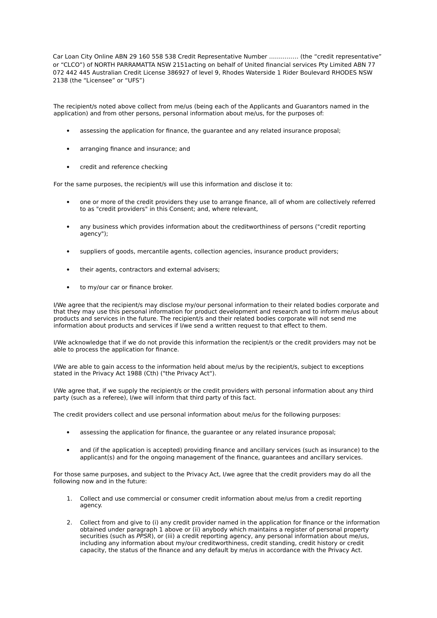Car Loan City Online ABN 29 160 558 538 Credit Representative Number …………… (the "credit representative" or "CLCO") of NORTH PARRAMATTA NSW 2151acting on behalf of United financial services Pty Limited ABN 77 072 442 445 Australian Credit License 386927 of level 9, Rhodes Waterside 1 Rider Boulevard RHODES NSW 2138 (the "Licensee" or "UFS")

The recipient/s noted above collect from me/us (being each of the Applicants and Guarantors named in the application) and from other persons, personal information about me/us, for the purposes of:

- assessing the application for finance, the guarantee and any related insurance proposal;
- arranging finance and insurance: and
- credit and reference checking

For the same purposes, the recipient/s will use this information and disclose it to:

- one or more of the credit providers they use to arrange finance, all of whom are collectively referred to as "credit providers" in this Consent; and, where relevant,
- any business which provides information about the creditworthiness of persons ("credit reporting agency");
- suppliers of goods, mercantile agents, collection agencies, insurance product providers;
- their agents, contractors and external advisers;
- to my/our car or finance broker.

I/We agree that the recipient/s may disclose my/our personal information to their related bodies corporate and that they may use this personal information for product development and research and to inform me/us about products and services in the future. The recipient/s and their related bodies corporate will not send me information about products and services if I/we send a written request to that effect to them.

I/We acknowledge that if we do not provide this information the recipient/s or the credit providers may not be able to process the application for finance.

I/We are able to gain access to the information held about me/us by the recipient/s, subject to exceptions stated in the Privacy Act 1988 (Cth) ("the Privacy Act").

I/We agree that, if we supply the recipient/s or the credit providers with personal information about any third party (such as a referee), I/we will inform that third party of this fact.

The credit providers collect and use personal information about me/us for the following purposes:

- assessing the application for finance, the guarantee or any related insurance proposal;
- and (if the application is accepted) providing finance and ancillary services (such as insurance) to the applicant(s) and for the ongoing management of the finance, guarantees and ancillary services.

For those same purposes, and subject to the Privacy Act, I/we agree that the credit providers may do all the following now and in the future:

- 1. Collect and use commercial or consumer credit information about me/us from a credit reporting agency.
- 2. Collect from and give to (i) any credit provider named in the application for finance or the information obtained under paragraph 1 above or (ii) anybody which maintains a register of personal property securities (such as PPSR), or (iii) a credit reporting agency, any personal information about me/us, including any information about my/our creditworthiness, credit standing, credit history or credit capacity, the status of the finance and any default by me/us in accordance with the Privacy Act.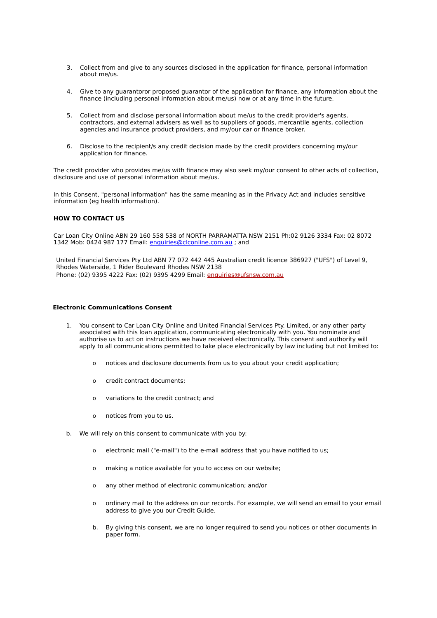- 3. Collect from and give to any sources disclosed in the application for finance, personal information about me/us.
- 4. Give to any guarantoror proposed guarantor of the application for finance, any information about the finance (including personal information about me/us) now or at any time in the future.
- 5. Collect from and disclose personal information about me/us to the credit provider's agents, contractors, and external advisers as well as to suppliers of goods, mercantile agents, collection agencies and insurance product providers, and my/our car or finance broker.
- 6. Disclose to the recipient/s any credit decision made by the credit providers concerning my/our application for finance.

The credit provider who provides me/us with finance may also seek my/our consent to other acts of collection, disclosure and use of personal information about me/us.

In this Consent, "personal information" has the same meaning as in the Privacy Act and includes sensitive information (eg health information).

## **HOW TO CONTACT US**

Car Loan City Online ABN 29 160 558 538 of NORTH PARRAMATTA NSW 2151 Ph:02 9126 3334 Fax: 02 8072 1342 Mob: 0424 987 177 Email: [enquiries@clconline.com.au](mailto:enquiries@clconline.com.au) ; and

United Financial Services Pty Ltd ABN 77 072 442 445 Australian credit licence 386927 ("UFS") of Level 9, Rhodes Waterside, 1 Rider Boulevard Rhodes NSW 2138 Phone: (02) 9395 4222 Fax: (02) 9395 4299 Email: [enquiries@ufsnsw.com.au](mailto:enquiries@ufsnsw.com.au)

## **Electronic Communications Consent**

- 1. You consent to Car Loan City Online and United Financial Services Pty. Limited, or any other party associated with this loan application, communicating electronically with you. You nominate and authorise us to act on instructions we have received electronically. This consent and authority will apply to all communications permitted to take place electronically by law including but not limited to:
	- o notices and disclosure documents from us to you about your credit application;
	- o credit contract documents;
	- o variations to the credit contract; and
	- o notices from you to us.
- b. We will rely on this consent to communicate with you by:
	- o electronic mail ("e-mail") to the e-mail address that you have notified to us;
	- o making a notice available for you to access on our website;
	- o any other method of electronic communication; and/or
	- o ordinary mail to the address on our records. For example, we will send an email to your email address to give you our Credit Guide.
	- b. By giving this consent, we are no longer required to send you notices or other documents in paper form.